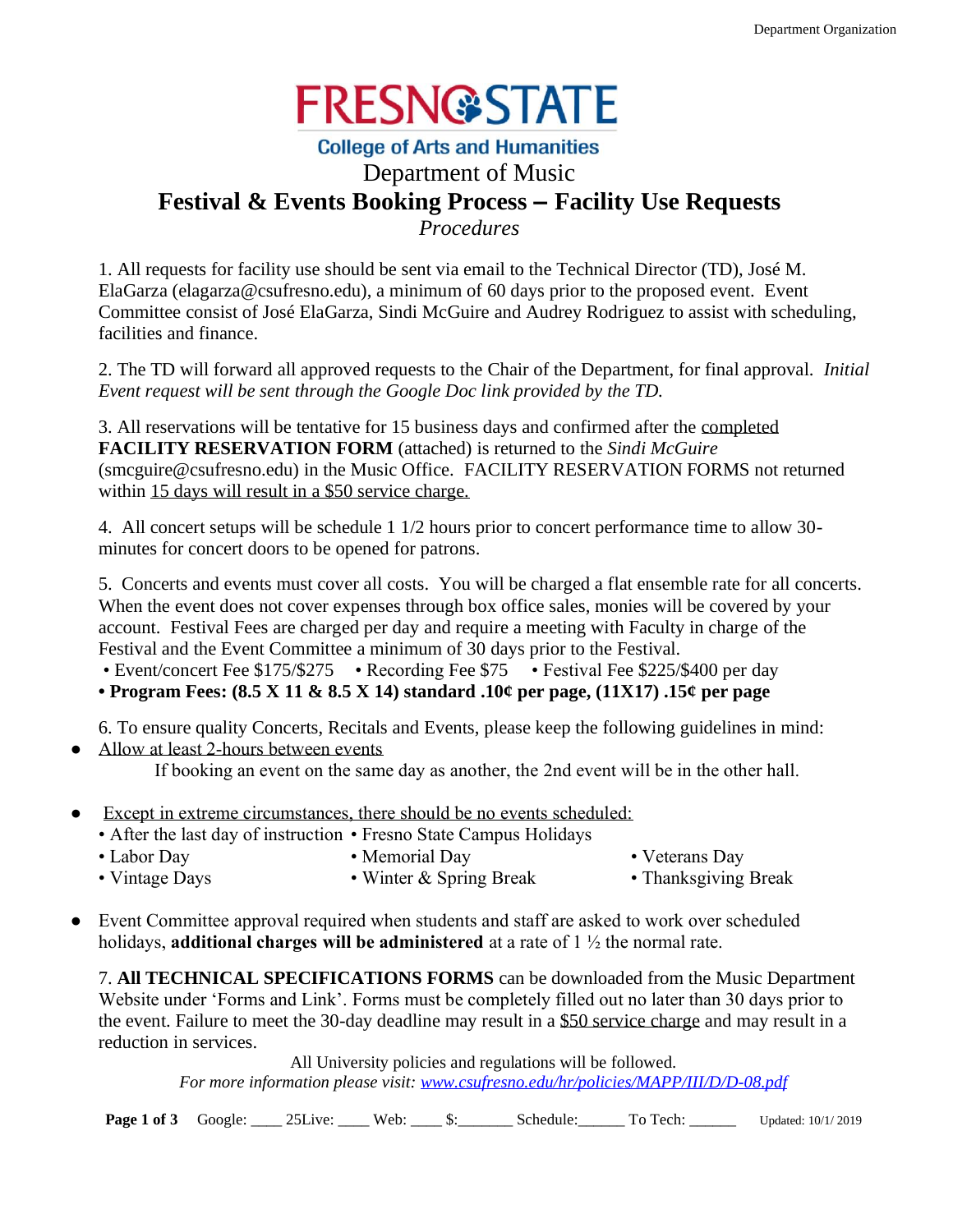

## **College of Arts and Humanities** Department of Music **Festival & Events Booking Process – Facility Use Requests**

*Procedures*

1. All requests for facility use should be sent via email to the Technical Director (TD), José M. ElaGarza (elagarza@csufresno.edu), a minimum of 60 days prior to the proposed event. Event Committee consist of José ElaGarza, Sindi McGuire and Audrey Rodriguez to assist with scheduling, facilities and finance.

2. The TD will forward all approved requests to the Chair of the Department, for final approval. *Initial Event request will be sent through the Google Doc link provided by the TD.*

3. All reservations will be tentative for 15 business days and confirmed after the completed **FACILITY RESERVATION FORM** (attached) is returned to the *Sindi McGuire* (smcguire@csufresno.edu) in the Music Office. FACILITY RESERVATION FORMS not returned within 15 days will result in a \$50 service charge.

4. All concert setups will be schedule 1 1/2 hours prior to concert performance time to allow 30 minutes for concert doors to be opened for patrons.

5. Concerts and events must cover all costs. You will be charged a flat ensemble rate for all concerts. When the event does not cover expenses through box office sales, monies will be covered by your account. Festival Fees are charged per day and require a meeting with Faculty in charge of the Festival and the Event Committee a minimum of 30 days prior to the Festival.

• Event/concert Fee \$175/\$275 • Recording Fee \$75 • Festival Fee \$225/\$400 per day

**• Program Fees: (8.5 X 11 & 8.5 X 14) standard .10¢ per page, (11X17) .15¢ per page**

6. To ensure quality Concerts, Recitals and Events, please keep the following guidelines in mind:

• Allow at least 2-hours between events

If booking an event on the same day as another, the 2nd event will be in the other hall.

- Except in extreme circumstances, there should be no events scheduled:
	- After the last day of instruction Fresno State Campus Holidays
	-
	- Labor Day Memorial Day Veterans Day
		-

- 
- Vintage Days Winter & Spring Break Thanksgiving Break
- Event Committee approval required when students and staff are asked to work over scheduled holidays, **additional charges will be administered** at a rate of 1 ½ the normal rate.

7. **All TECHNICAL SPECIFICATIONS FORMS** can be downloaded from the Music Department Website under 'Forms and Link'. Forms must be completely filled out no later than 30 days prior to the event. Failure to meet the 30-day deadline may result in a \$50 service charge and may result in a reduction in services.

All University policies and regulations will be followed. *For more information please visit: [www.csufresno.edu/hr/policies/MAPP/III/D/D-08.pdf](http://www.csufresno.edu/hr/policies/MAPP/III/D/D-08.pdf)*

**Page 1 of 3** Google: 25Live: Web:  $\qquad$  \$: Schedule: To Tech: Updated: 10/1/ 2019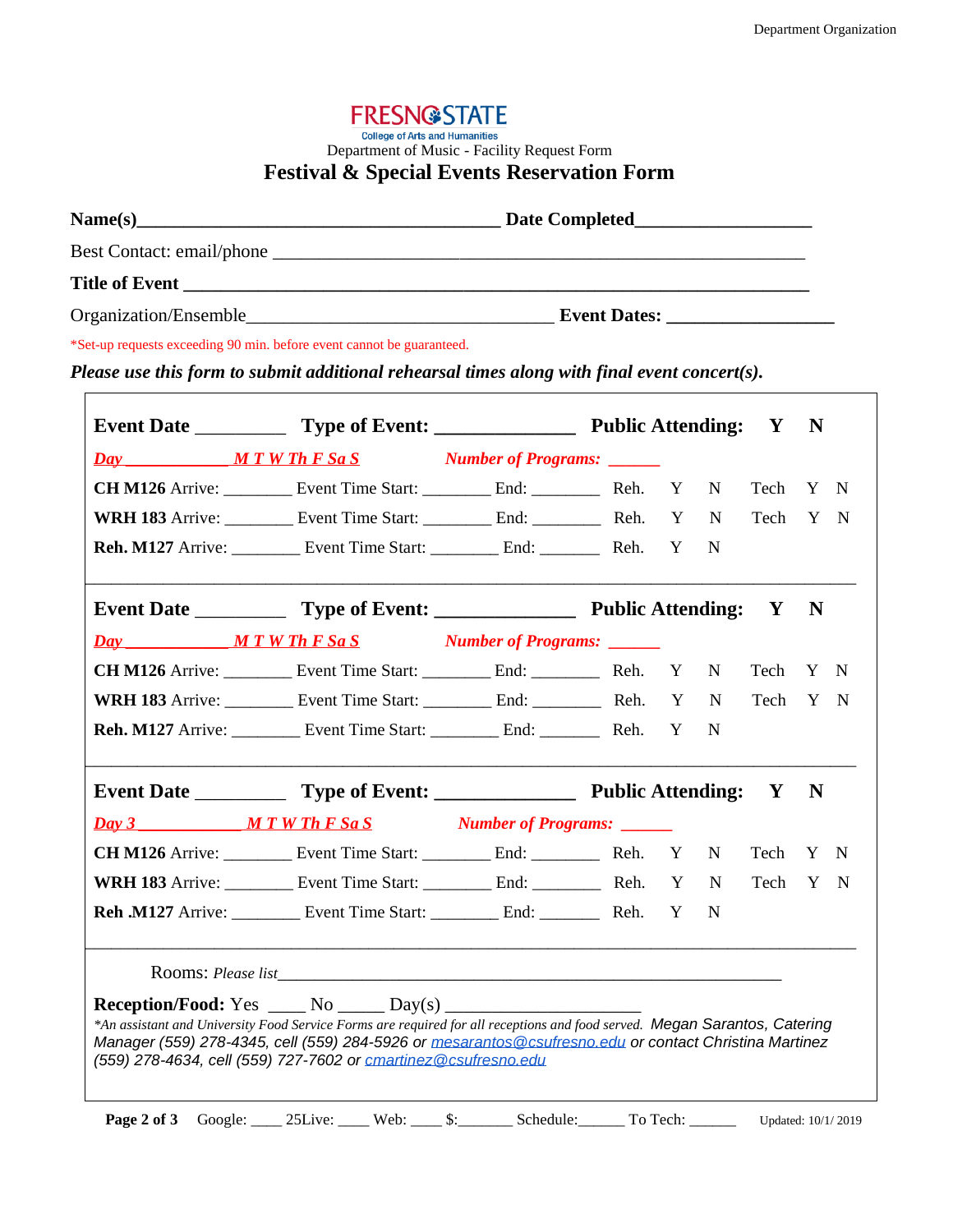# **FRESN@STATE** College of Arts and Humanities<br>Department of Music - Facility Request Form **Festival & Special Events Reservation Form**

|  | *Set-up requests exceeding 90 min. before event cannot be guaranteed.<br>Please use this form to submit additional rehearsal times along with final event concert(s).                                                                                                                                 |  |  |  |              |              |             |  |
|--|-------------------------------------------------------------------------------------------------------------------------------------------------------------------------------------------------------------------------------------------------------------------------------------------------------|--|--|--|--------------|--------------|-------------|--|
|  |                                                                                                                                                                                                                                                                                                       |  |  |  |              | $\mathbf{Y}$ | N           |  |
|  | Day MIWTh F Sa S Number of Programs:                                                                                                                                                                                                                                                                  |  |  |  |              |              |             |  |
|  | CH M126 Arrive: ____________ Event Time Start: ____________ End: ______________ Reh. Y N                                                                                                                                                                                                              |  |  |  |              | Tech Y N     |             |  |
|  | WRH 183 Arrive: ___________ Event Time Start: ____________ End: _____________ Reh. Y N                                                                                                                                                                                                                |  |  |  |              | Tech Y N     |             |  |
|  |                                                                                                                                                                                                                                                                                                       |  |  |  |              |              |             |  |
|  |                                                                                                                                                                                                                                                                                                       |  |  |  |              |              | $\mathbf N$ |  |
|  |                                                                                                                                                                                                                                                                                                       |  |  |  |              |              |             |  |
|  | CH M126 Arrive: ___________ Event Time Start: ___________ End: ____________ Reh. Y N                                                                                                                                                                                                                  |  |  |  |              | Tech Y N     |             |  |
|  |                                                                                                                                                                                                                                                                                                       |  |  |  |              | Tech Y N     |             |  |
|  |                                                                                                                                                                                                                                                                                                       |  |  |  |              |              |             |  |
|  |                                                                                                                                                                                                                                                                                                       |  |  |  |              |              | $\mathbf N$ |  |
|  |                                                                                                                                                                                                                                                                                                       |  |  |  |              |              |             |  |
|  |                                                                                                                                                                                                                                                                                                       |  |  |  |              | Tech Y N     |             |  |
|  |                                                                                                                                                                                                                                                                                                       |  |  |  |              | Tech Y N     |             |  |
|  | <b>Reh.M127</b> Arrive: ____________ Event Time Start: _____________ End: ____________ Reh. Y                                                                                                                                                                                                         |  |  |  | $\mathbb{N}$ |              |             |  |
|  |                                                                                                                                                                                                                                                                                                       |  |  |  |              |              |             |  |
|  |                                                                                                                                                                                                                                                                                                       |  |  |  |              |              |             |  |
|  | *An assistant and University Food Service Forms are required for all receptions and food served. Megan Sarantos, Catering<br>Manager (559) 278-4345, cell (559) 284-5926 or mesarantos @csufresno.edu or contact Christina Martinez<br>(559) 278-4634, cell (559) 727-7602 or cmartinez@csufresno.edu |  |  |  |              |              |             |  |
|  | Page 2 of 3 Google: 25Live: Web: S: Schedule: To Tech: Updated: 10/1/2019                                                                                                                                                                                                                             |  |  |  |              |              |             |  |